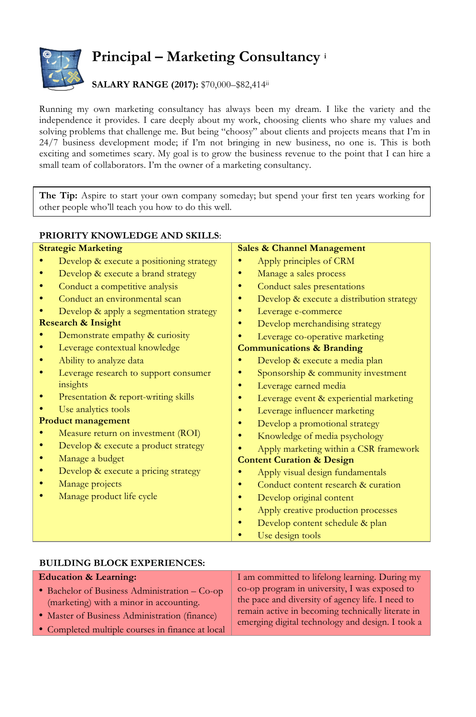

## **Principal – Marketing Consultancy <sup>i</sup>**

## **SALARY RANGE (2017):** \$70,000–\$82,414ii

Running my own marketing consultancy has always been my dream. I like the variety and the independence it provides. I care deeply about my work, choosing clients who share my values and solving problems that challenge me. But being "choosy" about clients and projects means that I'm in 24/7 business development mode; if I'm not bringing in new business, no one is. This is both exciting and sometimes scary. My goal is to grow the business revenue to the point that I can hire a small team of collaborators. I'm the owner of a marketing consultancy.

**The Tip:** Aspire to start your own company someday; but spend your first ten years working for other people who'll teach you how to do this well.

## **PRIORITY KNOWLEDGE AND SKILLS**: **Strategic Marketing** • Develop & execute a positioning strategy • Develop & execute a brand strategy • Conduct a competitive analysis • Conduct an environmental scan • Develop & apply a segmentation strategy **Research & Insight** • Demonstrate empathy & curiosity • Leverage contextual knowledge • Ability to analyze data • Leverage research to support consumer insights • Presentation & report-writing skills Use analytics tools **Product management** Measure return on investment (ROI) • Develop & execute a product strategy • Manage a budget • Develop & execute a pricing strategy • Manage projects • Manage product life cycle **Sales & Channel Management**  • Apply principles of CRM • Manage a sales process • Conduct sales presentations • Develop & execute a distribution strategy • Leverage e-commerce Develop merchandising strategy Leverage co-operative marketing **Communications & Branding**  • Develop & execute a media plan • Sponsorship & community investment Leverage earned media • Leverage event & experiential marketing • Leverage influencer marketing Develop a promotional strategy • Knowledge of media psychology • Apply marketing within a CSR framework **Content Curation & Design**  • Apply visual design fundamentals • Conduct content research & curation Develop original content • Apply creative production processes • Develop content schedule & plan Use design tools

## **BUILDING BLOCK EXPERIENCES:**

| <b>Education &amp; Learning:</b>                 | I am committed to lifelong learning. During my                                                        |
|--------------------------------------------------|-------------------------------------------------------------------------------------------------------|
| • Bachelor of Business Administration - Co-op    | co-op program in university, I was exposed to                                                         |
| (marketing) with a minor in accounting.          | the pace and diversity of agency life. I need to                                                      |
| • Master of Business Administration (finance)    | remain active in becoming technically literate in<br>emerging digital technology and design. I took a |
| • Completed multiple courses in finance at local |                                                                                                       |